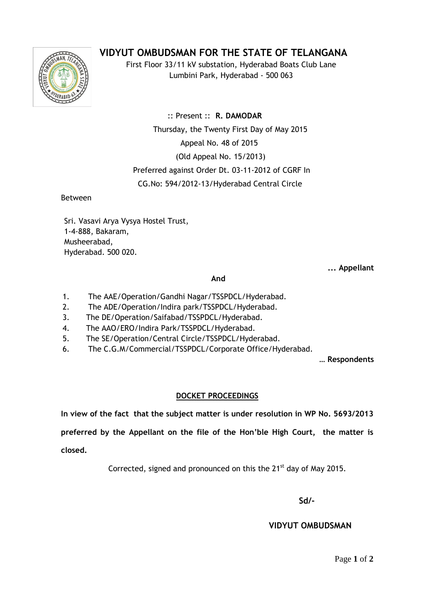## **VIDYUT OMBUDSMAN FOR THE STATE OF TELANGANA**



First Floor 33/11 kV substation, Hyderabad Boats Club Lane Lumbini Park, Hyderabad - 500 063

 :: Present :: **R. DAMODAR** Thursday, the Twenty First Day of May 2015 Appeal No. 48 of 2015 (Old Appeal No. 15/2013) Preferred against Order Dt. 03-11-2012 of CGRF In CG.No: 594/2012-13/Hyderabad Central Circle

Between

Sri. Vasavi Arya Vysya Hostel Trust, 1-4-888, Bakaram, Musheerabad, Hyderabad. 500 020.

**... Appellant**

## **And**

- 1. The AAE/Operation/Gandhi Nagar/TSSPDCL/Hyderabad.
- 2. The ADE/Operation/Indira park/TSSPDCL/Hyderabad.
- 3. 3. The DE/Operation/Saifabad/TSSPDCL/Hyderabad.
- 4. 4. The AAO/ERO/Indira Park/TSSPDCL/Hyderabad.
- 5. 5. The SE/Operation/Central Circle/TSSPDCL/Hyderabad.
- 6. The C.G.M/Commercial/TSSPDCL/Corporate Office/Hyderabad.

**… Respondents**

## **DOCKET PROCEEDINGS**

**In view of the fact that the subject matter is under resolution in WP No. 5693/2013** 

**preferred by the Appellant on the file of the Hon'ble High Court, the matter is closed.**

Corrected, signed and pronounced on this the 21<sup>st</sup> day of May 2015.

**Sd/-**

 **VIDYUT OMBUDSMAN**